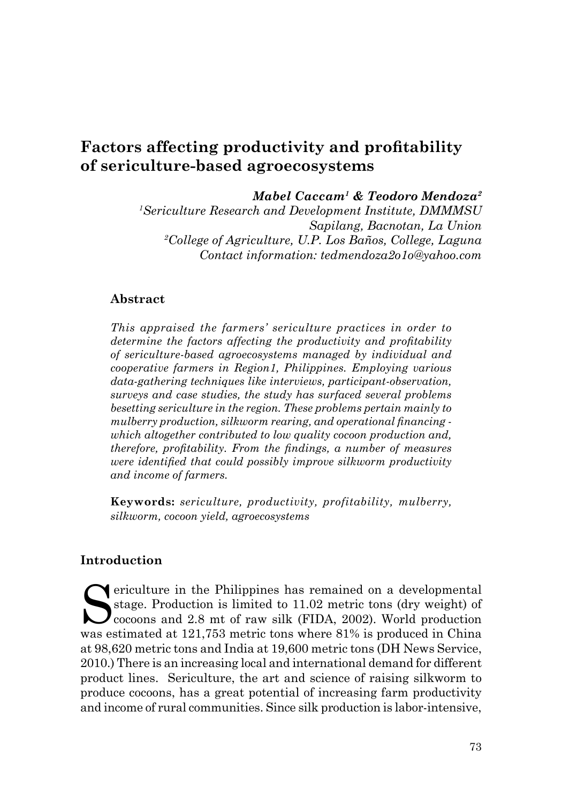# **Factors affecting productivity and profitability of sericulture-based agroecosystems**

*Mabel Caccam1 & Teodoro Mendoza2*

*1 Sericulture Research and Development Institute, DMMMSU Sapilang, Bacnotan, La Union 2 College of Agriculture, U.P. Los Baños, College, Laguna Contact information: tedmendoza2o1o@yahoo.com*

### **Abstract**

*This appraised the farmers' sericulture practices in order to determine the factors affecting the productivity and profitability of sericulture-based agroecosystems managed by individual and cooperative farmers in Region1, Philippines. Employing various data-gathering techniques like interviews, participant-observation, surveys and case studies, the study has surfaced several problems besetting sericulture in the region. These problems pertain mainly to mulberry production, silkworm rearing, and operational financing which altogether contributed to low quality cocoon production and, therefore, profitability. From the findings, a number of measures were identified that could possibly improve silkworm productivity and income of farmers.*

**Keywords:** *sericulture, productivity, profitability, mulberry, silkworm, cocoon yield, agroecosystems*

#### **Introduction**

Sericulture in the Philippines has remained on a developmental<br>stage. Production is limited to 11.02 metric tons (dry weight) of<br>cocoons and 2.8 mt of raw silk (FIDA, 2002). World production stage. Production is limited to 11.02 metric tons (dry weight) of Cocoons and 2.8 mt of raw silk (FIDA, 2002). World production was estimated at 121,753 metric tons where 81% is produced in China at 98,620 metric tons and India at 19,600 metric tons (DH News Service, 2010.) There is an increasing local and international demand for different product lines. Sericulture, the art and science of raising silkworm to produce cocoons, has a great potential of increasing farm productivity and income of rural communities. Since silk production is labor-intensive,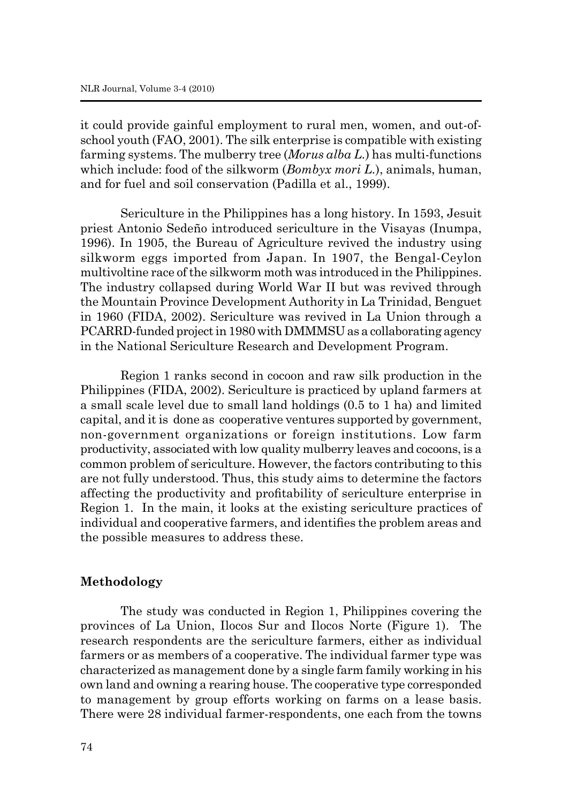it could provide gainful employment to rural men, women, and out-ofschool youth (FAO, 2001). The silk enterprise is compatible with existing farming systems. The mulberry tree (*Morus alba L.*) has multi-functions which include: food of the silkworm (*Bombyx mori L.*), animals, human, and for fuel and soil conservation (Padilla et al., 1999).

Sericulture in the Philippines has a long history. In 1593, Jesuit priest Antonio Sedeño introduced sericulture in the Visayas (Inumpa, 1996). In 1905, the Bureau of Agriculture revived the industry using silkworm eggs imported from Japan. In 1907, the Bengal-Ceylon multivoltine race of the silkworm moth was introduced in the Philippines. The industry collapsed during World War II but was revived through the Mountain Province Development Authority in La Trinidad, Benguet in 1960 (FIDA, 2002). Sericulture was revived in La Union through a PCARRD-funded project in 1980 with DMMMSU as a collaborating agency in the National Sericulture Research and Development Program.

Region 1 ranks second in cocoon and raw silk production in the Philippines (FIDA, 2002). Sericulture is practiced by upland farmers at a small scale level due to small land holdings (0.5 to 1 ha) and limited capital, and it is done as cooperative ventures supported by government, non-government organizations or foreign institutions. Low farm productivity, associated with low quality mulberry leaves and cocoons, is a common problem of sericulture. However, the factors contributing to this are not fully understood. Thus, this study aims to determine the factors affecting the productivity and profitability of sericulture enterprise in Region 1. In the main, it looks at the existing sericulture practices of individual and cooperative farmers, and identifies the problem areas and the possible measures to address these.

### **Methodology**

The study was conducted in Region 1, Philippines covering the provinces of La Union, Ilocos Sur and Ilocos Norte (Figure 1). The research respondents are the sericulture farmers, either as individual farmers or as members of a cooperative. The individual farmer type was characterized as management done by a single farm family working in his own land and owning a rearing house. The cooperative type corresponded to management by group efforts working on farms on a lease basis. There were 28 individual farmer-respondents, one each from the towns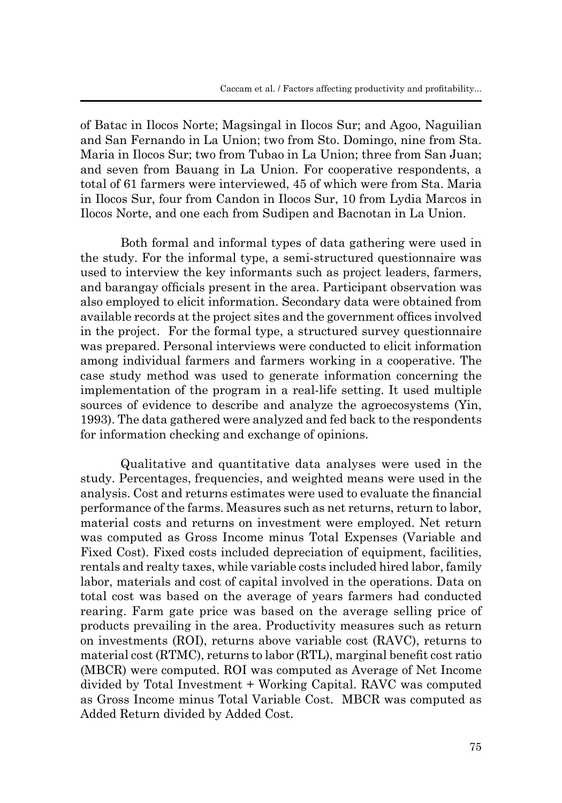of Batac in Ilocos Norte; Magsingal in Ilocos Sur; and Agoo, Naguilian and San Fernando in La Union; two from Sto. Domingo, nine from Sta. Maria in Ilocos Sur; two from Tubao in La Union; three from San Juan; and seven from Bauang in La Union. For cooperative respondents, a total of 61 farmers were interviewed, 45 of which were from Sta. Maria in Ilocos Sur, four from Candon in Ilocos Sur, 10 from Lydia Marcos in Ilocos Norte, and one each from Sudipen and Bacnotan in La Union.

Both formal and informal types of data gathering were used in the study. For the informal type, a semi-structured questionnaire was used to interview the key informants such as project leaders, farmers, and barangay officials present in the area. Participant observation was also employed to elicit information. Secondary data were obtained from available records at the project sites and the government offices involved in the project. For the formal type, a structured survey questionnaire was prepared. Personal interviews were conducted to elicit information among individual farmers and farmers working in a cooperative. The case study method was used to generate information concerning the implementation of the program in a real-life setting. It used multiple sources of evidence to describe and analyze the agroecosystems (Yin, 1993). The data gathered were analyzed and fed back to the respondents for information checking and exchange of opinions.

Qualitative and quantitative data analyses were used in the study. Percentages, frequencies, and weighted means were used in the analysis. Cost and returns estimates were used to evaluate the financial performance of the farms. Measures such as net returns, return to labor, material costs and returns on investment were employed. Net return was computed as Gross Income minus Total Expenses (Variable and Fixed Cost). Fixed costs included depreciation of equipment, facilities, rentals and realty taxes, while variable costs included hired labor, family labor, materials and cost of capital involved in the operations. Data on total cost was based on the average of years farmers had conducted rearing. Farm gate price was based on the average selling price of products prevailing in the area. Productivity measures such as return on investments (ROI), returns above variable cost (RAVC), returns to material cost (RTMC), returns to labor (RTL), marginal benefit cost ratio (MBCR) were computed. ROI was computed as Average of Net Income divided by Total Investment + Working Capital. RAVC was computed as Gross Income minus Total Variable Cost. MBCR was computed as Added Return divided by Added Cost.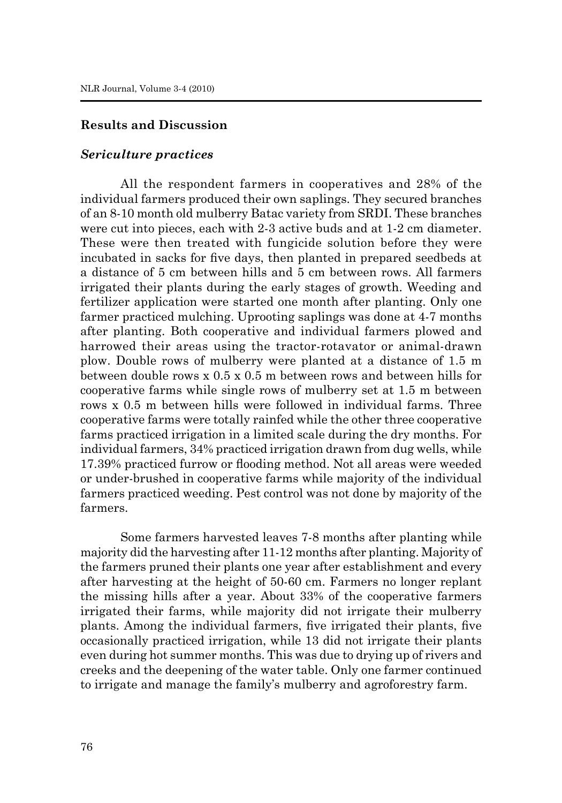### **Results and Discussion**

#### *Sericulture practices*

All the respondent farmers in cooperatives and 28% of the individual farmers produced their own saplings. They secured branches of an 8-10 month old mulberry Batac variety from SRDI. These branches were cut into pieces, each with 2-3 active buds and at 1-2 cm diameter. These were then treated with fungicide solution before they were incubated in sacks for five days, then planted in prepared seedbeds at a distance of 5 cm between hills and 5 cm between rows. All farmers irrigated their plants during the early stages of growth. Weeding and fertilizer application were started one month after planting. Only one farmer practiced mulching. Uprooting saplings was done at 4-7 months after planting. Both cooperative and individual farmers plowed and harrowed their areas using the tractor-rotavator or animal-drawn plow. Double rows of mulberry were planted at a distance of 1.5 m between double rows x 0.5 x 0.5 m between rows and between hills for cooperative farms while single rows of mulberry set at 1.5 m between rows x 0.5 m between hills were followed in individual farms. Three cooperative farms were totally rainfed while the other three cooperative farms practiced irrigation in a limited scale during the dry months. For individual farmers, 34% practiced irrigation drawn from dug wells, while 17.39% practiced furrow or flooding method. Not all areas were weeded or under-brushed in cooperative farms while majority of the individual farmers practiced weeding. Pest control was not done by majority of the farmers.

Some farmers harvested leaves 7-8 months after planting while majority did the harvesting after 11-12 months after planting. Majority of the farmers pruned their plants one year after establishment and every after harvesting at the height of 50-60 cm. Farmers no longer replant the missing hills after a year. About 33% of the cooperative farmers irrigated their farms, while majority did not irrigate their mulberry plants. Among the individual farmers, five irrigated their plants, five occasionally practiced irrigation, while 13 did not irrigate their plants even during hot summer months. This was due to drying up of rivers and creeks and the deepening of the water table. Only one farmer continued to irrigate and manage the family's mulberry and agroforestry farm.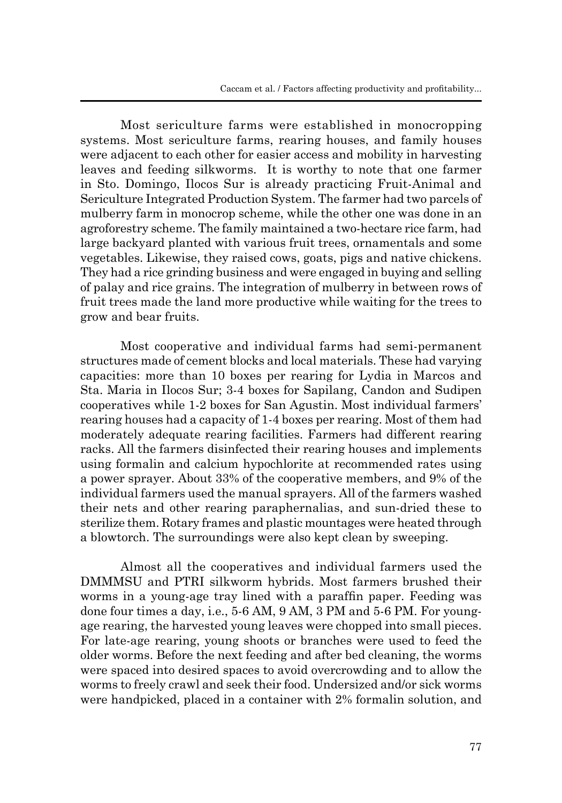Most sericulture farms were established in monocropping systems. Most sericulture farms, rearing houses, and family houses were adjacent to each other for easier access and mobility in harvesting leaves and feeding silkworms. It is worthy to note that one farmer in Sto. Domingo, Ilocos Sur is already practicing Fruit-Animal and Sericulture Integrated Production System. The farmer had two parcels of mulberry farm in monocrop scheme, while the other one was done in an agroforestry scheme. The family maintained a two-hectare rice farm, had large backyard planted with various fruit trees, ornamentals and some vegetables. Likewise, they raised cows, goats, pigs and native chickens. They had a rice grinding business and were engaged in buying and selling of palay and rice grains. The integration of mulberry in between rows of fruit trees made the land more productive while waiting for the trees to grow and bear fruits.

Most cooperative and individual farms had semi-permanent structures made of cement blocks and local materials. These had varying capacities: more than 10 boxes per rearing for Lydia in Marcos and Sta. Maria in Ilocos Sur; 3-4 boxes for Sapilang, Candon and Sudipen cooperatives while 1-2 boxes for San Agustin. Most individual farmers' rearing houses had a capacity of 1-4 boxes per rearing. Most of them had moderately adequate rearing facilities. Farmers had different rearing racks. All the farmers disinfected their rearing houses and implements using formalin and calcium hypochlorite at recommended rates using a power sprayer. About 33% of the cooperative members, and 9% of the individual farmers used the manual sprayers. All of the farmers washed their nets and other rearing paraphernalias, and sun-dried these to sterilize them. Rotary frames and plastic mountages were heated through a blowtorch. The surroundings were also kept clean by sweeping.

Almost all the cooperatives and individual farmers used the DMMMSU and PTRI silkworm hybrids. Most farmers brushed their worms in a young-age tray lined with a paraffin paper. Feeding was done four times a day, i.e., 5-6 AM, 9 AM, 3 PM and 5-6 PM. For youngage rearing, the harvested young leaves were chopped into small pieces. For late-age rearing, young shoots or branches were used to feed the older worms. Before the next feeding and after bed cleaning, the worms were spaced into desired spaces to avoid overcrowding and to allow the worms to freely crawl and seek their food. Undersized and/or sick worms were handpicked, placed in a container with 2% formalin solution, and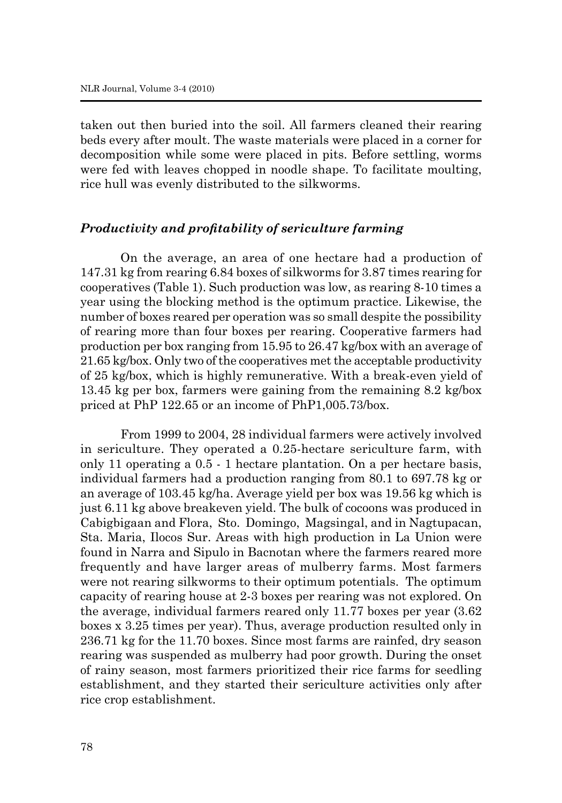taken out then buried into the soil. All farmers cleaned their rearing beds every after moult. The waste materials were placed in a corner for decomposition while some were placed in pits. Before settling, worms were fed with leaves chopped in noodle shape. To facilitate moulting, rice hull was evenly distributed to the silkworms.

### *Productivity and profitability of sericulture farming*

On the average, an area of one hectare had a production of 147.31 kg from rearing 6.84 boxes of silkworms for 3.87 times rearing for cooperatives (Table 1). Such production was low, as rearing 8-10 times a year using the blocking method is the optimum practice. Likewise, the number of boxes reared per operation was so small despite the possibility of rearing more than four boxes per rearing. Cooperative farmers had production per box ranging from 15.95 to 26.47 kg/box with an average of 21.65 kg/box. Only two of the cooperatives met the acceptable productivity of 25 kg/box, which is highly remunerative. With a break-even yield of 13.45 kg per box, farmers were gaining from the remaining 8.2 kg/box priced at PhP 122.65 or an income of PhP1,005.73/box.

From 1999 to 2004, 28 individual farmers were actively involved in sericulture. They operated a 0.25-hectare sericulture farm, with only 11 operating a 0.5 - 1 hectare plantation. On a per hectare basis, individual farmers had a production ranging from 80.1 to 697.78 kg or an average of 103.45 kg/ha. Average yield per box was 19.56 kg which is just 6.11 kg above breakeven yield. The bulk of cocoons was produced in Cabigbigaan and Flora, Sto. Domingo, Magsingal, and in Nagtupacan, Sta. Maria, Ilocos Sur. Areas with high production in La Union were found in Narra and Sipulo in Bacnotan where the farmers reared more frequently and have larger areas of mulberry farms. Most farmers were not rearing silkworms to their optimum potentials. The optimum capacity of rearing house at 2-3 boxes per rearing was not explored. On the average, individual farmers reared only 11.77 boxes per year (3.62 boxes x 3.25 times per year). Thus, average production resulted only in 236.71 kg for the 11.70 boxes. Since most farms are rainfed, dry season rearing was suspended as mulberry had poor growth. During the onset of rainy season, most farmers prioritized their rice farms for seedling establishment, and they started their sericulture activities only after rice crop establishment.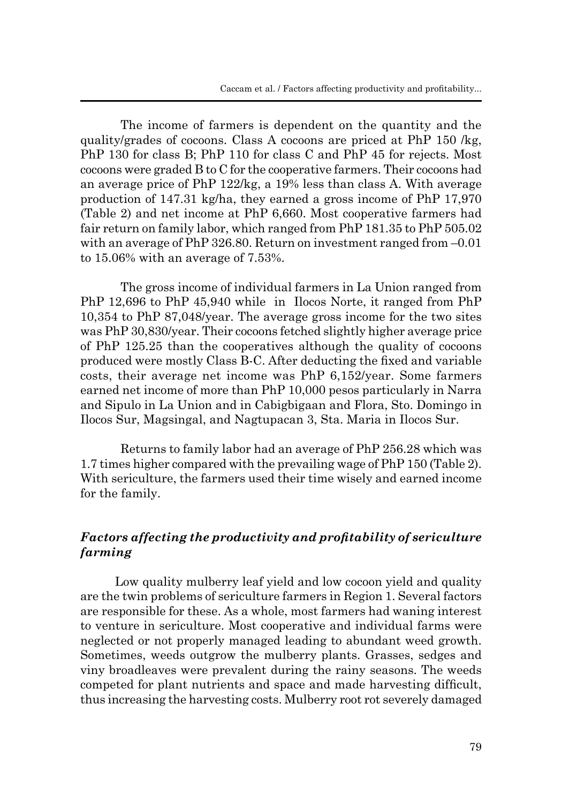The income of farmers is dependent on the quantity and the quality/grades of cocoons. Class A cocoons are priced at PhP 150 /kg, PhP 130 for class B; PhP 110 for class C and PhP 45 for rejects. Most cocoons were graded B to C for the cooperative farmers. Their cocoons had an average price of PhP 122/kg, a 19% less than class A. With average production of 147.31 kg/ha, they earned a gross income of PhP 17,970 (Table 2) and net income at PhP 6,660. Most cooperative farmers had fair return on family labor, which ranged from PhP 181.35 to PhP 505.02 with an average of PhP  $326.80$ . Return on investment ranged from  $-0.01$ to 15.06% with an average of 7.53%.

The gross income of individual farmers in La Union ranged from PhP 12,696 to PhP 45,940 while in Ilocos Norte, it ranged from PhP 10,354 to PhP 87,048/year. The average gross income for the two sites was PhP 30,830/year. Their cocoons fetched slightly higher average price of PhP 125.25 than the cooperatives although the quality of cocoons produced were mostly Class B-C. After deducting the fixed and variable costs, their average net income was PhP 6,152/year. Some farmers earned net income of more than PhP 10,000 pesos particularly in Narra and Sipulo in La Union and in Cabigbigaan and Flora, Sto. Domingo in Ilocos Sur, Magsingal, and Nagtupacan 3, Sta. Maria in Ilocos Sur.

Returns to family labor had an average of PhP 256.28 which was 1.7 times higher compared with the prevailing wage of PhP 150 (Table 2). With sericulture, the farmers used their time wisely and earned income for the family.

# *Factors affecting the productivity and profitability of sericulture farming*

 Low quality mulberry leaf yield and low cocoon yield and quality are the twin problems of sericulture farmers in Region 1. Several factors are responsible for these. As a whole, most farmers had waning interest to venture in sericulture. Most cooperative and individual farms were neglected or not properly managed leading to abundant weed growth. Sometimes, weeds outgrow the mulberry plants. Grasses, sedges and viny broadleaves were prevalent during the rainy seasons. The weeds competed for plant nutrients and space and made harvesting difficult, thus increasing the harvesting costs. Mulberry root rot severely damaged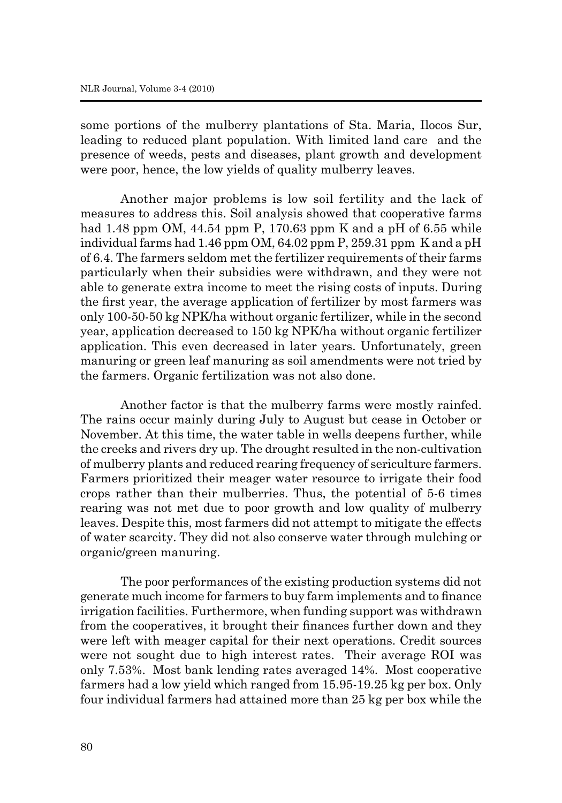some portions of the mulberry plantations of Sta. Maria, Ilocos Sur, leading to reduced plant population. With limited land care and the presence of weeds, pests and diseases, plant growth and development were poor, hence, the low yields of quality mulberry leaves.

Another major problems is low soil fertility and the lack of measures to address this. Soil analysis showed that cooperative farms had 1.48 ppm OM, 44.54 ppm P, 170.63 ppm K and a pH of 6.55 while individual farms had 1.46 ppm OM, 64.02 ppm P, 259.31 ppm K and a pH of 6.4. The farmers seldom met the fertilizer requirements of their farms particularly when their subsidies were withdrawn, and they were not able to generate extra income to meet the rising costs of inputs. During the first year, the average application of fertilizer by most farmers was only 100-50-50 kg NPK/ha without organic fertilizer, while in the second year, application decreased to 150 kg NPK/ha without organic fertilizer application. This even decreased in later years. Unfortunately, green manuring or green leaf manuring as soil amendments were not tried by the farmers. Organic fertilization was not also done.

Another factor is that the mulberry farms were mostly rainfed. The rains occur mainly during July to August but cease in October or November. At this time, the water table in wells deepens further, while the creeks and rivers dry up. The drought resulted in the non-cultivation of mulberry plants and reduced rearing frequency of sericulture farmers. Farmers prioritized their meager water resource to irrigate their food crops rather than their mulberries. Thus, the potential of 5-6 times rearing was not met due to poor growth and low quality of mulberry leaves. Despite this, most farmers did not attempt to mitigate the effects of water scarcity. They did not also conserve water through mulching or organic/green manuring.

The poor performances of the existing production systems did not generate much income for farmers to buy farm implements and to finance irrigation facilities. Furthermore, when funding support was withdrawn from the cooperatives, it brought their finances further down and they were left with meager capital for their next operations. Credit sources were not sought due to high interest rates. Their average ROI was only 7.53%. Most bank lending rates averaged 14%. Most cooperative farmers had a low yield which ranged from 15.95-19.25 kg per box. Only four individual farmers had attained more than 25 kg per box while the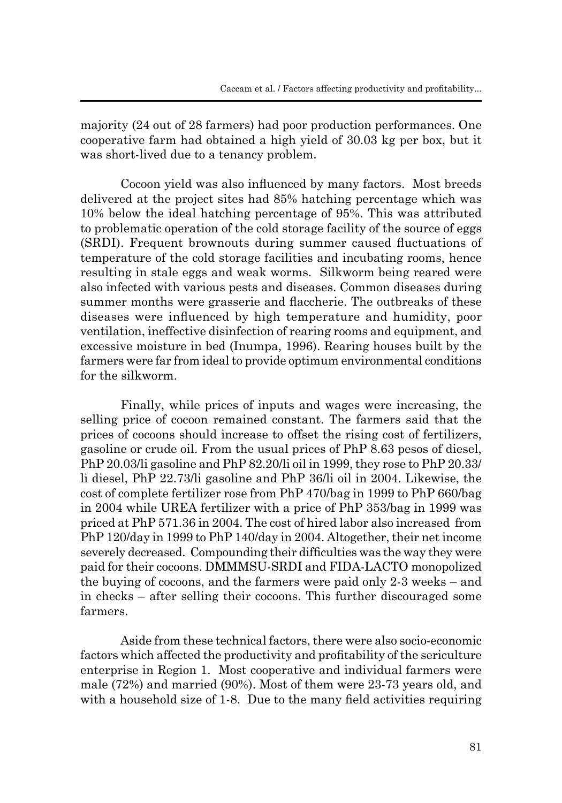majority (24 out of 28 farmers) had poor production performances. One cooperative farm had obtained a high yield of 30.03 kg per box, but it was short-lived due to a tenancy problem.

Cocoon yield was also influenced by many factors. Most breeds delivered at the project sites had 85% hatching percentage which was 10% below the ideal hatching percentage of 95%. This was attributed to problematic operation of the cold storage facility of the source of eggs (SRDI). Frequent brownouts during summer caused fluctuations of temperature of the cold storage facilities and incubating rooms, hence resulting in stale eggs and weak worms. Silkworm being reared were also infected with various pests and diseases. Common diseases during summer months were grasserie and flaccherie. The outbreaks of these diseases were influenced by high temperature and humidity, poor ventilation, ineffective disinfection of rearing rooms and equipment, and excessive moisture in bed (Inumpa, 1996). Rearing houses built by the farmers were far from ideal to provide optimum environmental conditions for the silkworm.

Finally, while prices of inputs and wages were increasing, the selling price of cocoon remained constant. The farmers said that the prices of cocoons should increase to offset the rising cost of fertilizers, gasoline or crude oil. From the usual prices of PhP 8.63 pesos of diesel, PhP 20.03/li gasoline and PhP 82.20/li oil in 1999, they rose to PhP 20.33/ li diesel, PhP 22.73/li gasoline and PhP 36/li oil in 2004. Likewise, the cost of complete fertilizer rose from PhP 470/bag in 1999 to PhP 660/bag in 2004 while UREA fertilizer with a price of PhP 353/bag in 1999 was priced at PhP 571.36 in 2004. The cost of hired labor also increased from PhP 120/day in 1999 to PhP 140/day in 2004. Altogether, their net income severely decreased. Compounding their difficulties was the way they were paid for their cocoons. DMMMSU-SRDI and FIDA-LACTO monopolized the buying of cocoons, and the farmers were paid only 2-3 weeks – and in checks – after selling their cocoons. This further discouraged some farmers.

Aside from these technical factors, there were also socio-economic factors which affected the productivity and profitability of the sericulture enterprise in Region 1. Most cooperative and individual farmers were male (72%) and married (90%). Most of them were 23-73 years old, and with a household size of 1-8. Due to the many field activities requiring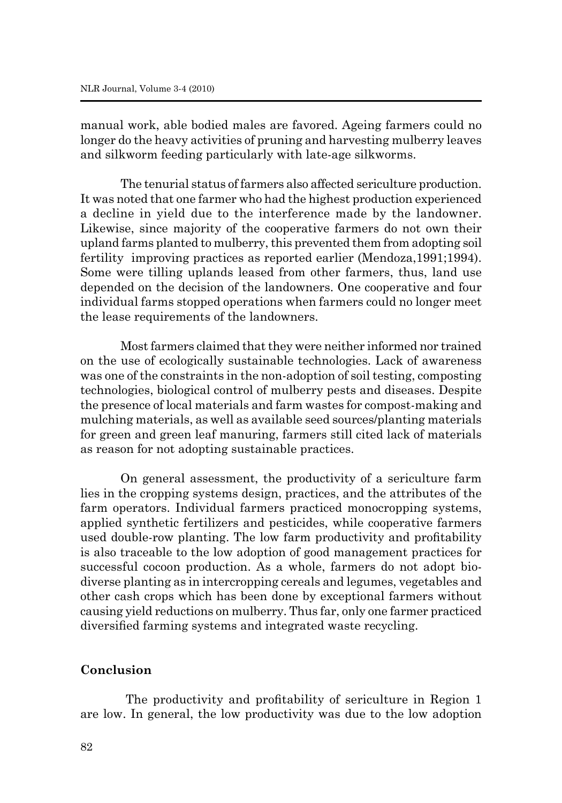manual work, able bodied males are favored. Ageing farmers could no longer do the heavy activities of pruning and harvesting mulberry leaves and silkworm feeding particularly with late-age silkworms.

The tenurial status of farmers also affected sericulture production. It was noted that one farmer who had the highest production experienced a decline in yield due to the interference made by the landowner. Likewise, since majority of the cooperative farmers do not own their upland farms planted to mulberry, this prevented them from adopting soil fertility improving practices as reported earlier (Mendoza,1991;1994). Some were tilling uplands leased from other farmers, thus, land use depended on the decision of the landowners. One cooperative and four individual farms stopped operations when farmers could no longer meet the lease requirements of the landowners.

Most farmers claimed that they were neither informed nor trained on the use of ecologically sustainable technologies. Lack of awareness was one of the constraints in the non-adoption of soil testing, composting technologies, biological control of mulberry pests and diseases. Despite the presence of local materials and farm wastes for compost-making and mulching materials, as well as available seed sources/planting materials for green and green leaf manuring, farmers still cited lack of materials as reason for not adopting sustainable practices.

On general assessment, the productivity of a sericulture farm lies in the cropping systems design, practices, and the attributes of the farm operators. Individual farmers practiced monocropping systems, applied synthetic fertilizers and pesticides, while cooperative farmers used double-row planting. The low farm productivity and profitability is also traceable to the low adoption of good management practices for successful cocoon production. As a whole, farmers do not adopt biodiverse planting as in intercropping cereals and legumes, vegetables and other cash crops which has been done by exceptional farmers without causing yield reductions on mulberry. Thus far, only one farmer practiced diversified farming systems and integrated waste recycling.

### **Conclusion**

 The productivity and profitability of sericulture in Region 1 are low. In general, the low productivity was due to the low adoption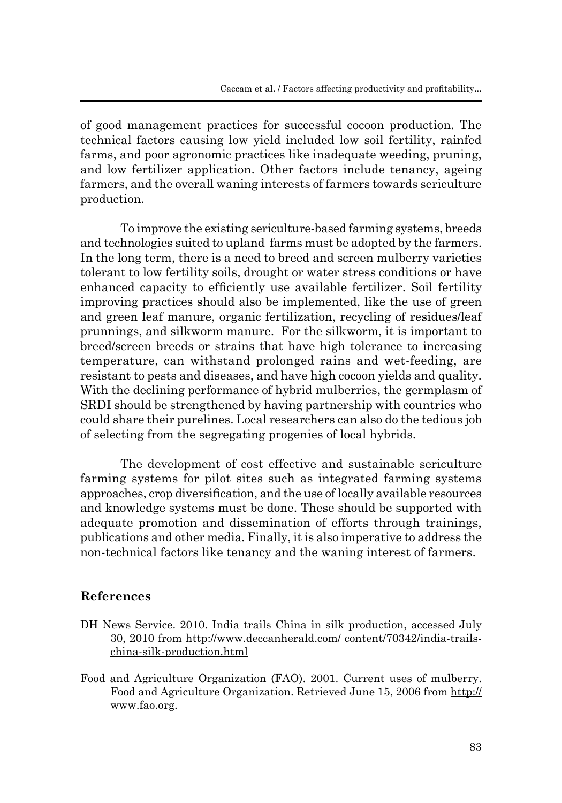of good management practices for successful cocoon production. The technical factors causing low yield included low soil fertility, rainfed farms, and poor agronomic practices like inadequate weeding, pruning, and low fertilizer application. Other factors include tenancy, ageing farmers, and the overall waning interests of farmers towards sericulture production.

To improve the existing sericulture-based farming systems, breeds and technologies suited to upland farms must be adopted by the farmers. In the long term, there is a need to breed and screen mulberry varieties tolerant to low fertility soils, drought or water stress conditions or have enhanced capacity to efficiently use available fertilizer. Soil fertility improving practices should also be implemented, like the use of green and green leaf manure, organic fertilization, recycling of residues/leaf prunnings, and silkworm manure. For the silkworm, it is important to breed/screen breeds or strains that have high tolerance to increasing temperature, can withstand prolonged rains and wet-feeding, are resistant to pests and diseases, and have high cocoon yields and quality. With the declining performance of hybrid mulberries, the germplasm of SRDI should be strengthened by having partnership with countries who could share their purelines. Local researchers can also do the tedious job of selecting from the segregating progenies of local hybrids.

The development of cost effective and sustainable sericulture farming systems for pilot sites such as integrated farming systems approaches, crop diversification, and the use of locally available resources and knowledge systems must be done. These should be supported with adequate promotion and dissemination of efforts through trainings, publications and other media. Finally, it is also imperative to address the non-technical factors like tenancy and the waning interest of farmers.

# **References**

- DH News Service. 2010. India trails China in silk production, accessed July 30, 2010 from http://www.deccanherald.com/ content/70342/india-trailschina-silk-production.html
- Food and Agriculture Organization (FAO). 2001. Current uses of mulberry. Food and Agriculture Organization. Retrieved June 15, 2006 from http:// www.fao.org.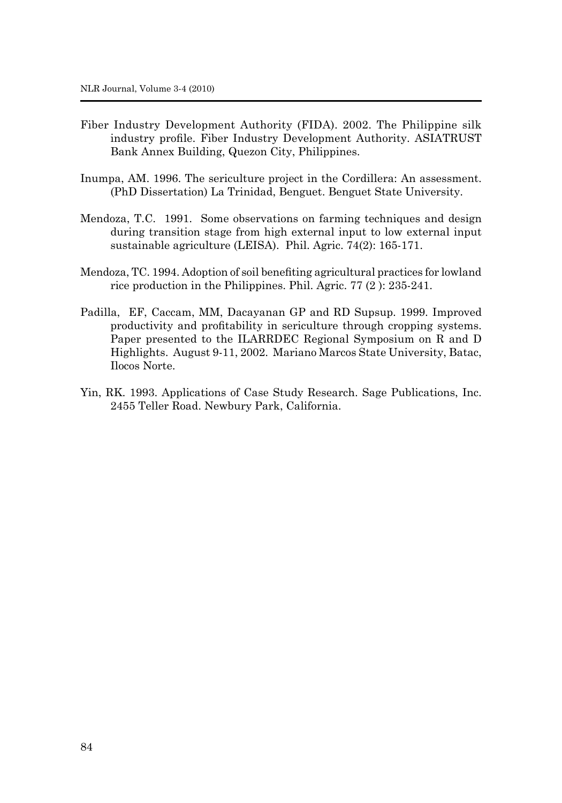- Fiber Industry Development Authority (FIDA). 2002. The Philippine silk industry profile. Fiber Industry Development Authority. ASIATRUST Bank Annex Building, Quezon City, Philippines.
- Inumpa, AM. 1996. The sericulture project in the Cordillera: An assessment. (PhD Dissertation) La Trinidad, Benguet. Benguet State University.
- Mendoza, T.C. 1991. Some observations on farming techniques and design during transition stage from high external input to low external input sustainable agriculture (LEISA). Phil. Agric. 74(2): 165-171.
- Mendoza, TC. 1994. Adoption of soil benefiting agricultural practices for lowland rice production in the Philippines. Phil. Agric. 77 (2 ): 235-241.
- Padilla, EF, Caccam, MM, Dacayanan GP and RD Supsup. 1999. Improved productivity and profitability in sericulture through cropping systems. Paper presented to the ILARRDEC Regional Symposium on R and D Highlights. August 9-11, 2002. Mariano Marcos State University, Batac, Ilocos Norte.
- Yin, RK. 1993. Applications of Case Study Research. Sage Publications, Inc. 2455 Teller Road. Newbury Park, California.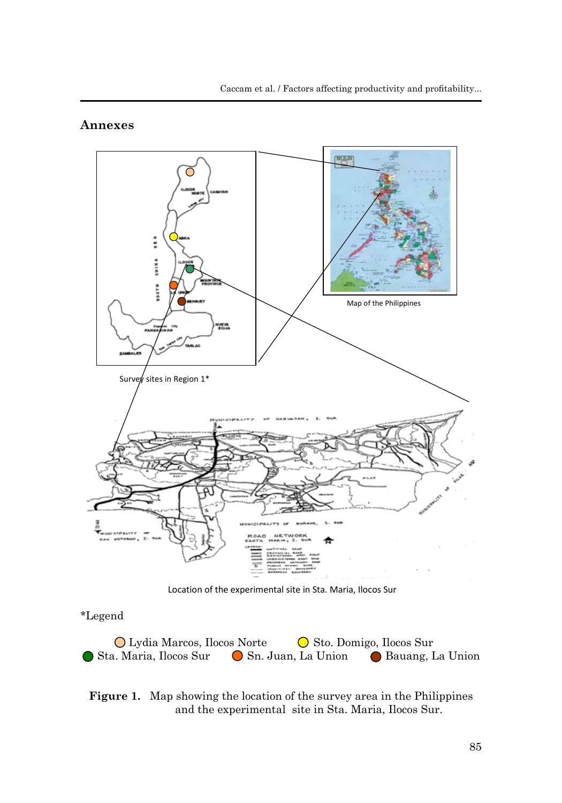### **Annexes**



Location of the experimental site in Sta. Maria, Ilocos Sur

# \*Legend

◯ Lydia Marcos, Ilocos Norte  $\bigcirc$  Sto. Domigo, Ilocos Sur Sta. Maria, Ilocos Sur  $\bigcirc$  Sn. Juan, La Union  $\bigcirc$  Bauang, La Union

### **Figure 1.** Map showing the location of the survey area in the Philippines and the experimental site in Sta. Maria, Ilocos Sur.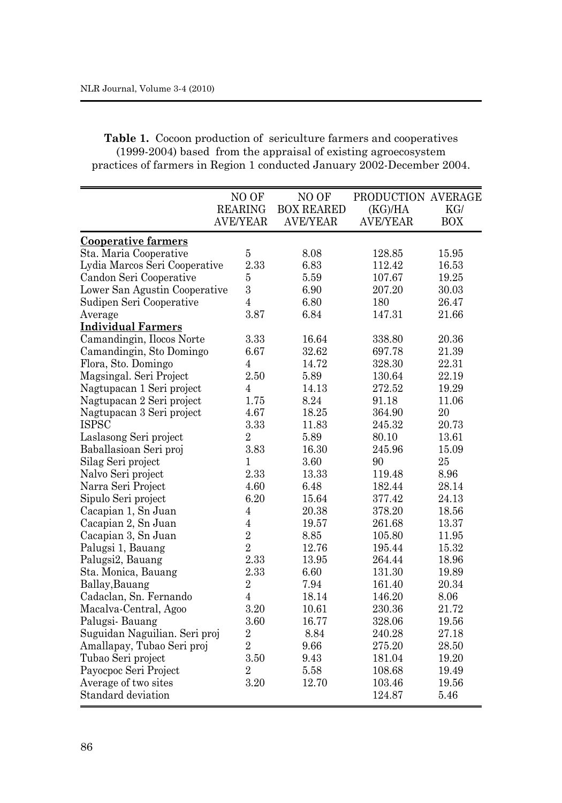| <b>Table 1.</b> Cocoon production of sericulture farmers and cooperatives |
|---------------------------------------------------------------------------|
| (1999-2004) based from the appraisal of existing agroecosystem            |
| practices of farmers in Region 1 conducted January 2002-December 2004.    |

|                               | NO OF           | NO OF             | PRODUCTION AVERAGE |            |
|-------------------------------|-----------------|-------------------|--------------------|------------|
|                               | <b>REARING</b>  | <b>BOX REARED</b> | (KG)/HA            | KG/        |
|                               | <b>AVE/YEAR</b> | <b>AVE/YEAR</b>   | <b>AVE/YEAR</b>    | <b>BOX</b> |
| <b>Cooperative farmers</b>    |                 |                   |                    |            |
| Sta. Maria Cooperative        | $\overline{5}$  | 8.08              | 128.85             | 15.95      |
| Lydia Marcos Seri Cooperative | 2.33            | 6.83              | 112.42             | 16.53      |
| Candon Seri Cooperative       | $\bf 5$         | 5.59              | 107.67             | 19.25      |
| Lower San Agustin Cooperative | 3               | 6.90              | 207.20             | 30.03      |
| Sudipen Seri Cooperative      | $\overline{4}$  | 6.80              | 180                | 26.47      |
| Average                       | 3.87            | 6.84              | 147.31             | 21.66      |
| <b>Individual Farmers</b>     |                 |                   |                    |            |
| Camandingin, Ilocos Norte     | 3.33            | 16.64             | 338.80             | 20.36      |
| Camandingin, Sto Domingo      | 6.67            | 32.62             | 697.78             | 21.39      |
| Flora, Sto. Domingo           | $\overline{4}$  | 14.72             | 328.30             | 22.31      |
| Magsingal. Seri Project       | 2.50            | 5.89              | 130.64             | 22.19      |
| Nagtupacan 1 Seri project     | 4               | 14.13             | 272.52             | 19.29      |
| Nagtupacan 2 Seri project     | 1.75            | 8.24              | 91.18              | 11.06      |
| Nagtupacan 3 Seri project     | 4.67            | 18.25             | 364.90             | 20         |
| <b>ISPSC</b>                  | 3.33            | 11.83             | 245.32             | 20.73      |
| Laslasong Seri project        | $\overline{2}$  | 5.89              | 80.10              | 13.61      |
| Baballasioan Seri proj        | $\!.83$         | 16.30             | 245.96             | 15.09      |
| Silag Seri project            | 1               | 3.60              | 90                 | 25         |
| Nalvo Seri project            | 2.33            | 13.33             | 119.48             | 8.96       |
| Narra Seri Project            | 4.60            | 6.48              | 182.44             | 28.14      |
| Sipulo Seri project           | 6.20            | 15.64             | 377.42             | 24.13      |
| Cacapian 1, Sn Juan           | $\overline{4}$  | 20.38             | 378.20             | 18.56      |
| Cacapian 2, Sn Juan           | $\,4\,$         | 19.57             | 261.68             | 13.37      |
| Cacapian 3, Sn Juan           | $\overline{2}$  | 8.85              | 105.80             | 11.95      |
| Palugsi 1, Bauang             | $\overline{2}$  | 12.76             | 195.44             | 15.32      |
| Palugsi2, Bauang              | 2.33            | 13.95             | 264.44             | 18.96      |
| Sta. Monica, Bauang           | $2.33\,$        | 6.60              | 131.30             | 19.89      |
| Ballay, Bauang                | $\sqrt{2}$      | 7.94              | 161.40             | 20.34      |
| Cadaclan, Sn. Fernando        | $\overline{4}$  | 18.14             | 146.20             | 8.06       |
| Macalva-Central, Agoo         | $3.20\,$        | 10.61             | 230.36             | 21.72      |
| Palugsi-Bauang                | 3.60            | 16.77             | 328.06             | 19.56      |
| Suguidan Naguilian. Seri proj | $\overline{2}$  | 8.84              | 240.28             | 27.18      |
| Amallapay, Tubao Seri proj    | $\overline{2}$  | 9.66              | 275.20             | 28.50      |
| Tubao Seri project            | 3.50            | 9.43              | 181.04             | 19.20      |
| Payocpoc Seri Project         | $\overline{2}$  | 5.58              | 108.68             | 19.49      |
| Average of two sites          | 3.20            | 12.70             | 103.46             | 19.56      |
| Standard deviation            |                 |                   | 124.87             | 5.46       |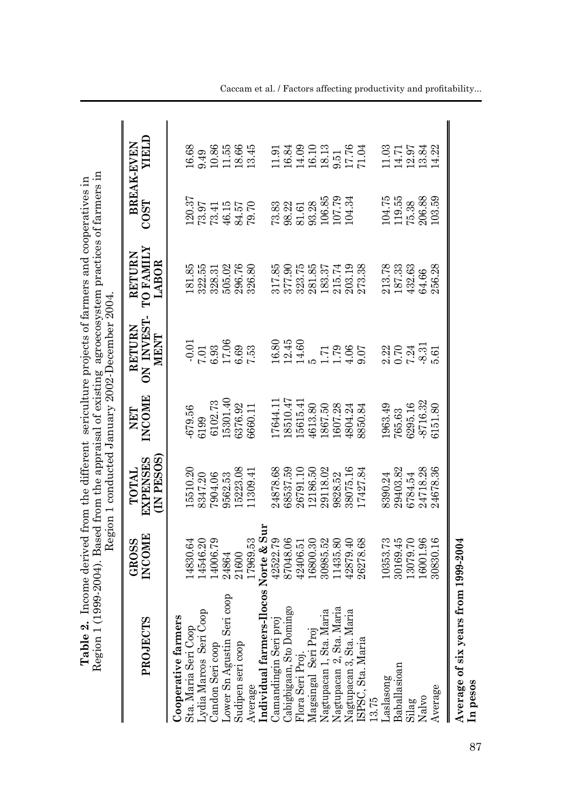| Region 1 (1<br>Table 2.                             |                        | 999-2004). Based from the appraisal of existing agroecosystem practices of farmers in<br>Income derived from the different sericulture projects of farmers and cooperatives in<br>Region 1 conducted January 2002-December 2004 |                      |                                     |                                     |        |                           |
|-----------------------------------------------------|------------------------|---------------------------------------------------------------------------------------------------------------------------------------------------------------------------------------------------------------------------------|----------------------|-------------------------------------|-------------------------------------|--------|---------------------------|
| <b>PROJECTS</b>                                     | INCOME<br><b>GROSS</b> | (IN PESOS)<br><b>EXPENSES</b><br>TOTAL                                                                                                                                                                                          | <b>INCOME</b><br>NET | ON INVEST-<br><b>RETURN</b><br>MENT | <b>TO FAMILY</b><br>RETURN<br>LABOR | COST   | NELD<br><b>BREAK-EVEN</b> |
|                                                     |                        |                                                                                                                                                                                                                                 |                      |                                     |                                     |        |                           |
| <b>Cooperative farmers<br/>Sta. Maria Seri Coop</b> | 14830.64               | 15510.20                                                                                                                                                                                                                        | 679.56               | $-0.01$                             | 181.85                              | 120.37 | 16.68                     |
| ydia Marcos Seri Coop                               | 14546.20               | 8347.20                                                                                                                                                                                                                         | ;199                 | 7.01                                | 322.55                              | 73.97  | 0.49                      |
| Candon Seri coop                                    | 14006.79               | 7904.06                                                                                                                                                                                                                         | 6102.73              | 6.93                                | 328.31                              | 73.41  | 10.86                     |
| coop<br>ower Sn Agustin Seri                        | 24864                  | 9562.53                                                                                                                                                                                                                         | 15301.40             | 17.06                               | 505.02                              | 46.15  | 11.55                     |
| Sudipen seri coop                                   | 21600                  | 15223.08                                                                                                                                                                                                                        | 3376.92              | 0.69                                | 296.76                              | 84.57  | 18.66                     |
| Average                                             | 17969.53               | 11309.41                                                                                                                                                                                                                        | 3660.11              | 7.53                                | 326.80                              | 79.70  | 13.45                     |
| Individual farmers-Ilocos Norte & Sur               |                        |                                                                                                                                                                                                                                 |                      |                                     |                                     |        |                           |
| Jamandingin Seri proj                               | 42522.79               | 24878.68                                                                                                                                                                                                                        | [7644.1]             | 16.80                               | 317.85                              | 73.83  | 1.91                      |
| ιgο                                                 | 87048.06               | 68537.59                                                                                                                                                                                                                        | 8510.47              | 12.45                               | 377.90                              | 98.22  | 16.84                     |
| Cabigbigaan, Sto Domin<br>Flora Seri Proj.          | 42406.51               | 26791.10                                                                                                                                                                                                                        | 15615.41             | 14.60                               | 323.75                              | 81.61  | 14.09                     |
| Magsingal Seri Proj                                 | .6800.30               | 12186.50                                                                                                                                                                                                                        | 4613.80              |                                     | 281.85                              | 93.28  | 16.10                     |
| Jagtupacan 1, Sta. Maria                            | 30985.52               | 29118.02                                                                                                                                                                                                                        | 1867.50              | 1.71                                | 183.37                              | 106.85 | 18.13                     |
| Nagtupacan 2, Sta. Maria                            | 1435.80                | 9828.52                                                                                                                                                                                                                         | 1607.28              | 1.79                                | 215.74                              | 107.79 | 9.51                      |
| Nagtupacan 3, Sta. Maria                            | 12879.40               | 38075.16                                                                                                                                                                                                                        | 1804.24              | 4.06                                | 203.19                              | 104.34 | 17.76                     |

 $\text{Camandingin Seroi}$  proj 42522.79  $\frac{42522.79}{24878.68}$  16.80  $\frac{16.80}{16.80}$  73.85 73.83 11.91 Cabigbigaan, Sto Domingo 87048.06 68537.59 18510.47 12.45 377.90 98.22 16.84 Flora Seri Proj. 42406.51 26791.10 15615.41 14.60 323.75 81.61 14.09 Magsingal Seri Proj 16.10 12186.50 5 5 2800.30 5 281.85 93.28 16.10 Nagtupacan 1, Sta. Maria 30985.52 29118.02 1867.50 1.71 1.71 1.83.37 106.85 18.13 Nagtupacan 2, Sta. Maria 11435.80 9828.52 1.79 1.79 215.74 107.79 9.51 Nagtupacan 3, Sta. Maria 42879.40 38075.16 4804.24 4.06 203.19 104.34 17.76 ISPSC, Sta. Maria 26278.68 17427.84 8850.84 9.07 273.38 71.04

17.76<br>71.04

 $\frac{215.74}{203.19}$ 

 $1.79$ <br> $1.79$ <br> $4.05$ <br> $9.07$ 

 $\frac{1607.28}{4804.24}$ <br>8850.84

1427.84

11435.80<br>42879.40<br>26278.68

Nagtupacan 2, Sta. Maria<br>Nagtupacan 3, Sta. Maria<br>ISPSC, Sta. Maria

 $11.03$ 

14.71

 $\begin{array}{c} 104.75 \\ 119.55 \\ 75.38 \\ 206.88 \end{array}$ 

 $\frac{213.78}{187.33}$ <br> $\frac{432.63}{64.66}$ 

2.21<br>0.21<br>7.31<br>8.31

14.22

103.59

256.28

5.61

 $12.97$ 

13.84

Caccam et al. / Factors affecting productivity and profitability...

Average 30830.16 24678.36 6151.80 5.61 256.28 103.59 14.22 24718.28<br>24678.36 30830.16 Average of six years from 1999-2004 **Average of six years from 1999-2004** Average **In pesos**

13.75

Baballasioan aslasong

Nalvo

Silag

Laslasong 104.75 10353.73 8390.24 2.22 2.22 2.23 2.23 2.23 104.75 104.75 Baballasioan 30169.45 29403.82 765.63 0.70 187.33 119.55 14.71  $\mathrm{Si} \text{lag}$  13079.70 6784.54 6295.16 7.24 432.63 75.38 12.97 Nalvo 16001.96 24718.28 -8.31 -8.31 64.66 206.88 13.84

1963.49<br>765.63 6295.16 8716.32 6151.80

> 29403.82 6784.54

> > 13079.70

6001.96

8390.24

0353.73 30169.45